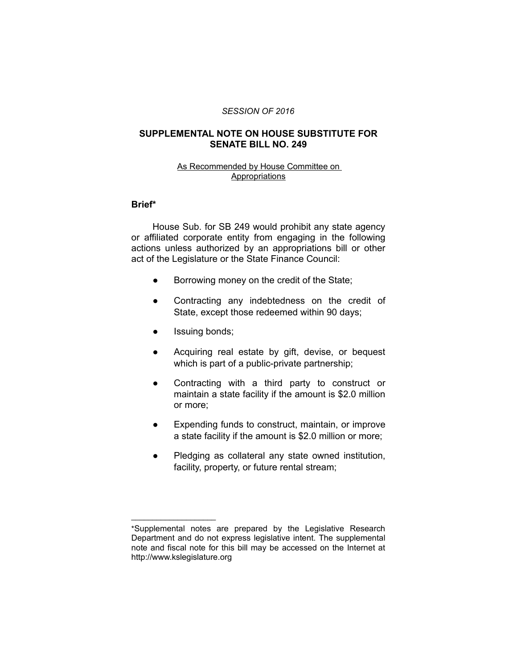#### *SESSION OF 2016*

# **SUPPLEMENTAL NOTE ON HOUSE SUBSTITUTE FOR SENATE BILL NO. 249**

### As Recommended by House Committee on Appropriations

# **Brief\***

House Sub. for SB 249 would prohibit any state agency or affiliated corporate entity from engaging in the following actions unless authorized by an appropriations bill or other act of the Legislature or the State Finance Council:

- Borrowing money on the credit of the State;
- Contracting any indebtedness on the credit of State, except those redeemed within 90 days;
- Issuing bonds;

 $\overline{\phantom{a}}$  , where  $\overline{\phantom{a}}$  , where  $\overline{\phantom{a}}$ 

- Acquiring real estate by gift, devise, or bequest which is part of a public-private partnership;
- Contracting with a third party to construct or maintain a state facility if the amount is \$2.0 million or more;
- Expending funds to construct, maintain, or improve a state facility if the amount is \$2.0 million or more;
- Pledging as collateral any state owned institution, facility, property, or future rental stream;

<sup>\*</sup>Supplemental notes are prepared by the Legislative Research Department and do not express legislative intent. The supplemental note and fiscal note for this bill may be accessed on the Internet at http://www.kslegislature.org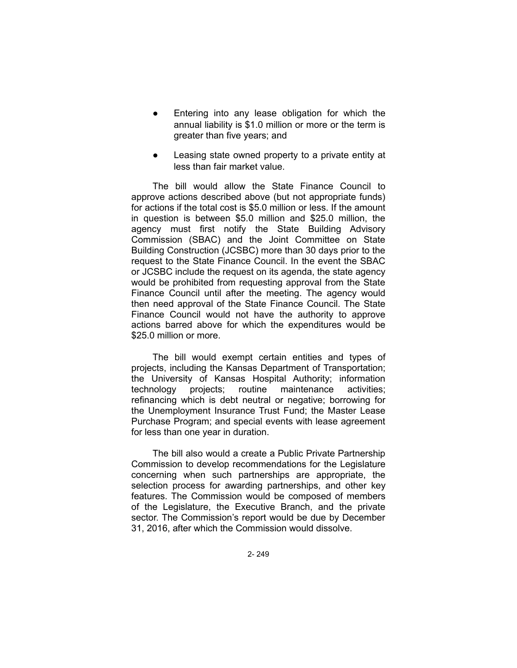- Entering into any lease obligation for which the annual liability is \$1.0 million or more or the term is greater than five years; and
- Leasing state owned property to a private entity at less than fair market value.

The bill would allow the State Finance Council to approve actions described above (but not appropriate funds) for actions if the total cost is \$5.0 million or less. If the amount in question is between \$5.0 million and \$25.0 million, the agency must first notify the State Building Advisory Commission (SBAC) and the Joint Committee on State Building Construction (JCSBC) more than 30 days prior to the request to the State Finance Council. In the event the SBAC or JCSBC include the request on its agenda, the state agency would be prohibited from requesting approval from the State Finance Council until after the meeting. The agency would then need approval of the State Finance Council. The State Finance Council would not have the authority to approve actions barred above for which the expenditures would be \$25.0 million or more.

The bill would exempt certain entities and types of projects, including the Kansas Department of Transportation; the University of Kansas Hospital Authority; information technology projects; routine maintenance activities; refinancing which is debt neutral or negative; borrowing for the Unemployment Insurance Trust Fund; the Master Lease Purchase Program; and special events with lease agreement for less than one year in duration.

The bill also would a create a Public Private Partnership Commission to develop recommendations for the Legislature concerning when such partnerships are appropriate, the selection process for awarding partnerships, and other key features. The Commission would be composed of members of the Legislature, the Executive Branch, and the private sector. The Commission's report would be due by December 31, 2016, after which the Commission would dissolve.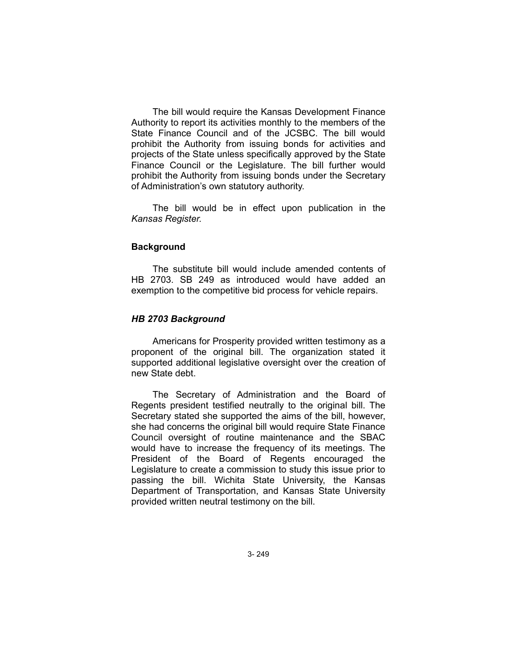The bill would require the Kansas Development Finance Authority to report its activities monthly to the members of the State Finance Council and of the JCSBC. The bill would prohibit the Authority from issuing bonds for activities and projects of the State unless specifically approved by the State Finance Council or the Legislature. The bill further would prohibit the Authority from issuing bonds under the Secretary of Administration's own statutory authority.

The bill would be in effect upon publication in the *Kansas Register.*

### **Background**

The substitute bill would include amended contents of HB 2703. SB 249 as introduced would have added an exemption to the competitive bid process for vehicle repairs.

#### *HB 2703 Background*

Americans for Prosperity provided written testimony as a proponent of the original bill. The organization stated it supported additional legislative oversight over the creation of new State debt.

The Secretary of Administration and the Board of Regents president testified neutrally to the original bill. The Secretary stated she supported the aims of the bill, however, she had concerns the original bill would require State Finance Council oversight of routine maintenance and the SBAC would have to increase the frequency of its meetings. The President of the Board of Regents encouraged the Legislature to create a commission to study this issue prior to passing the bill. Wichita State University, the Kansas Department of Transportation, and Kansas State University provided written neutral testimony on the bill.